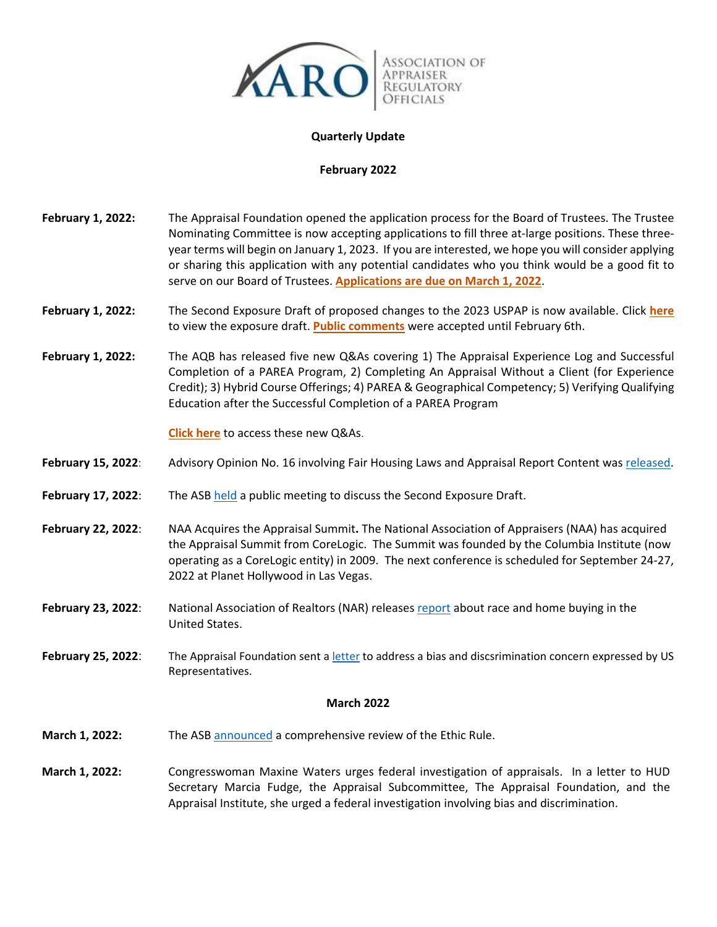

### **Quarterly Update**

### **February 2022**

- February 1, 2022: The Appraisal Foundation opened the application process for the Board of Trustees. The Trustee Nominating Committee is now accepting applications to fill three at-large positions. These threeyear terms will begin on January 1, 2023. If you are interested, we hope you will consider applying or sharing this application with any potential candidates who you think would be a good fit to serve on our Board of Trustees. **Applications are due on March 1, 2022**.
- **February 1, 2022:** The Second Exposure Draft of proposed changes to the 2023 USPAP is now available. Click **here** to view the exposure draft. **Public comments** were accepted until February 6th.
- **February 1, 2022:** The AQB has released five new Q&As covering 1) The Appraisal Experience Log and Successful Completion of a PAREA Program, 2) Completing An Appraisal Without a Client (for Experience Credit); 3) Hybrid Course Offerings; 4) PAREA & Geographical Competency; 5) Verifying Qualifying Education after the Successful Completion of a PAREA Program

**Click here** to access these new Q&As.

- **February 15, 2022**: Advisory Opinion No. 16 involving Fair Housing Laws and Appraisal Report Content was released.
- **February 17, 2022**: The ASB held a public meeting to discuss the Second Exposure Draft.
- **February 22, 2022**: NAA Acquires the Appraisal Summit**.** The National Association of Appraisers (NAA) has acquired the Appraisal Summit from CoreLogic. The Summit was founded by the Columbia Institute (now operating as a CoreLogic entity) in 2009. The next conference is scheduled for September 24-27, 2022 at Planet Hollywood in Las Vegas.
- **February 23, 2022**: National Association of Realtors (NAR) releases report about race and home buying in the United States.
- February 25, 2022: The Appraisal Foundation sent a letter to address a bias and discsrimination concern expressed by US Representatives.

#### **March 2022**

- **March 1, 2022:** The ASB announced a comprehensive review of the Ethic Rule.
- **March 1, 2022:** Congresswoman Maxine Waters urges federal investigation of appraisals. In a letter to HUD Secretary Marcia Fudge, the Appraisal Subcommittee, The Appraisal Foundation, and the Appraisal Institute, she urged a federal investigation involving bias and discrimination.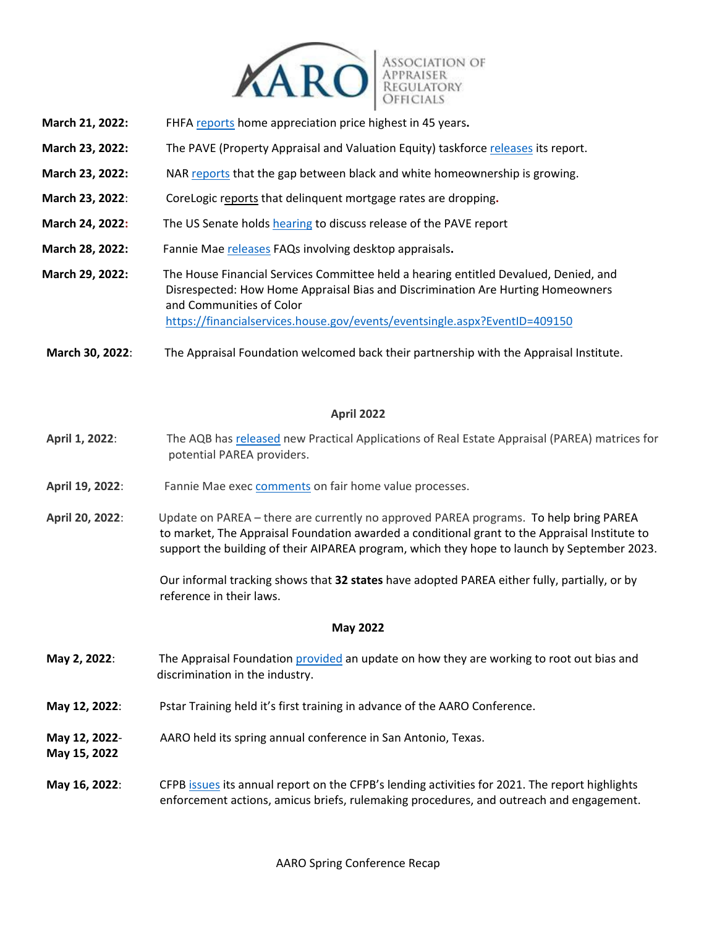

- **March 21, 2022:** FHFA reports home appreciation price highest in 45 years**.**
- **March 23, 2022:** The PAVE (Property Appraisal and Valuation Equity) taskforce releases its report.
- **March 23, 2022:** NAR reports that the gap between black and white homeownership is growing.
- **March 23, 2022**: CoreLogic reports that delinquent mortgage rates are dropping**.**
- **March 24, 2022:** The US Senate holds hearing to discuss release of the PAVE report
- **March 28, 2022:** Fannie Mae releases FAQs involving desktop appraisals**.**
- **March 29, 2022:** The House Financial Services Committee held a hearing entitled Devalued, Denied, and Disrespected: How Home Appraisal Bias and Discrimination Are Hurting Homeowners and Communities of Color https://financialservices.house.gov/events/eventsingle.aspx?EventID=409150

**March 30, 2022**: The Appraisal Foundation welcomed back their partnership with the Appraisal Institute.

# **April 2022**

- **April 1, 2022**: The AQB has released new Practical Applications of Real Estate Appraisal (PAREA) matrices for potential PAREA providers.
- **April 19, 2022**: Fannie Mae exec comments on fair home value processes.
- **April 20, 2022**: Update on PAREA there are currently no approved PAREA programs. To help bring PAREA to market, The Appraisal Foundation awarded a conditional grant to the Appraisal Institute to support the building of their AIPAREA program, which they hope to launch by September 2023.

 Our informal tracking shows that **32 states** have adopted PAREA either fully, partially, or by reference in their laws.

#### **May 2022**

- **May 2, 2022**: The Appraisal Foundation provided an update on how they are working to root out bias and discrimination in the industry.
- **May 12, 2022**: Pstar Training held it's first training in advance of the AARO Conference.
- **May 12, 2022** AARO held its spring annual conference in San Antonio, Texas.
- **May 15, 2022**
- **May 16, 2022**: CFPB issues its annual report on the CFPB's lending activities for 2021. The report highlights enforcement actions, amicus briefs, rulemaking procedures, and outreach and engagement.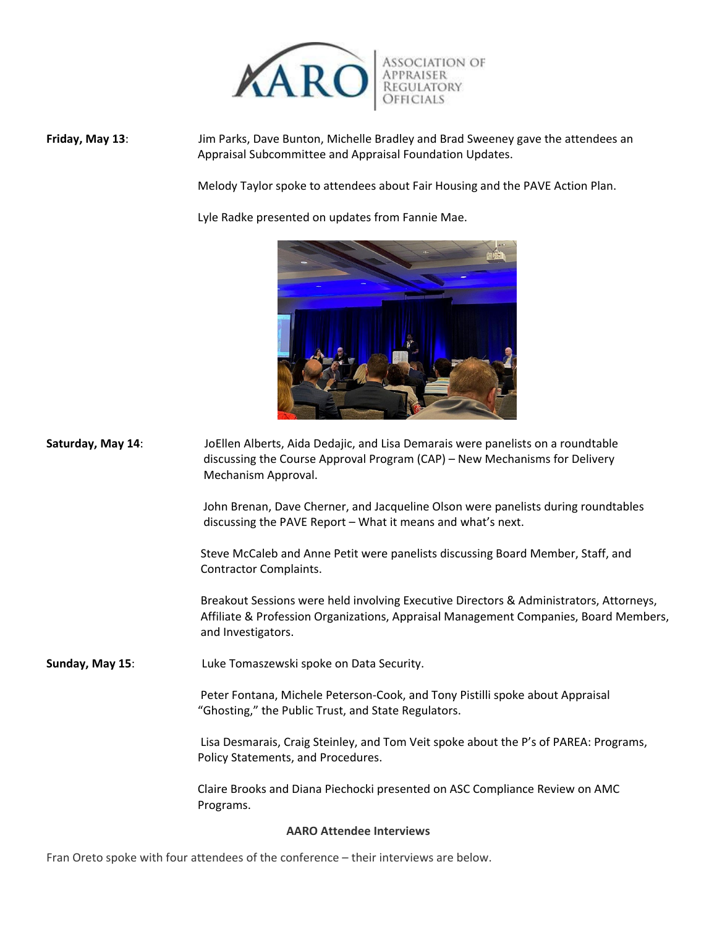

**Friday, May 13**: Jim Parks, Dave Bunton, Michelle Bradley and Brad Sweeney gave the attendees an Appraisal Subcommittee and Appraisal Foundation Updates.

Melody Taylor spoke to attendees about Fair Housing and the PAVE Action Plan.

Lyle Radke presented on updates from Fannie Mae.



**Saturday, May 14**: JoEllen Alberts, Aida Dedajic, and Lisa Demarais were panelists on a roundtable discussing the Course Approval Program (CAP) – New Mechanisms for Delivery Mechanism Approval.

> John Brenan, Dave Cherner, and Jacqueline Olson were panelists during roundtables discussing the PAVE Report – What it means and what's next.

 Steve McCaleb and Anne Petit were panelists discussing Board Member, Staff, and Contractor Complaints.

 Breakout Sessions were held involving Executive Directors & Administrators, Attorneys, Affiliate & Profession Organizations, Appraisal Management Companies, Board Members, and Investigators.

**Sunday, May 15**: Luke Tomaszewski spoke on Data Security.

 Peter Fontana, Michele Peterson-Cook, and Tony Pistilli spoke about Appraisal "Ghosting," the Public Trust, and State Regulators.

 Lisa Desmarais, Craig Steinley, and Tom Veit spoke about the P's of PAREA: Programs, Policy Statements, and Procedures.

 Claire Brooks and Diana Piechocki presented on ASC Compliance Review on AMC Programs.

**AARO Attendee Interviews**

Fran Oreto spoke with four attendees of the conference – their interviews are below.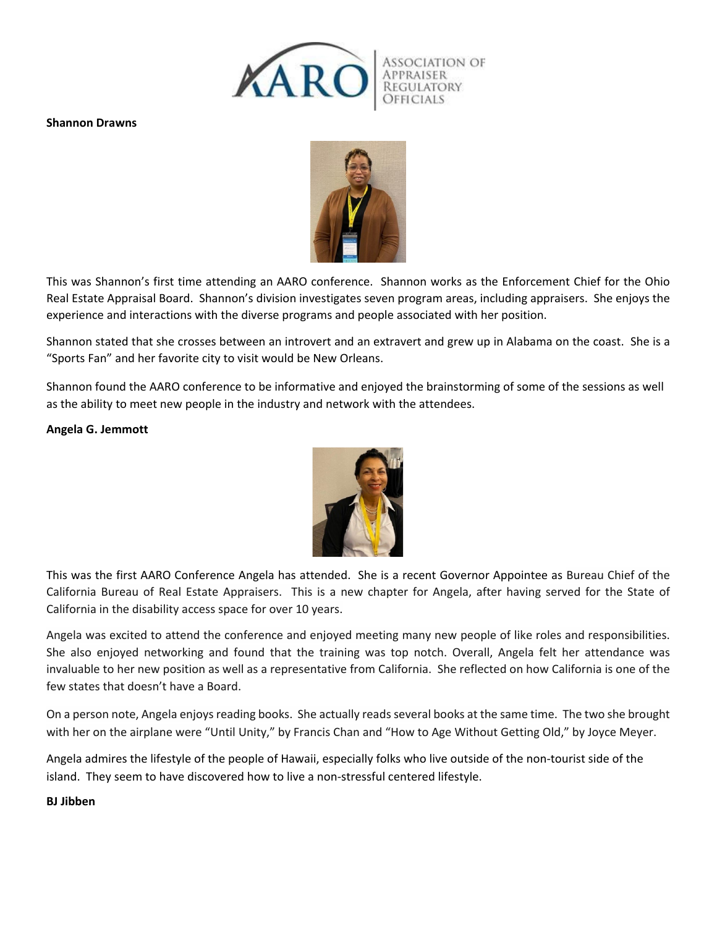

## **Shannon Drawns**



This was Shannon's first time attending an AARO conference. Shannon works as the Enforcement Chief for the Ohio Real Estate Appraisal Board. Shannon's division investigates seven program areas, including appraisers. She enjoys the experience and interactions with the diverse programs and people associated with her position.

Shannon stated that she crosses between an introvert and an extravert and grew up in Alabama on the coast. She is a "Sports Fan" and her favorite city to visit would be New Orleans.

Shannon found the AARO conference to be informative and enjoyed the brainstorming of some of the sessions as well as the ability to meet new people in the industry and network with the attendees.

## **Angela G. Jemmott**



This was the first AARO Conference Angela has attended. She is a recent Governor Appointee as Bureau Chief of the California Bureau of Real Estate Appraisers. This is a new chapter for Angela, after having served for the State of California in the disability access space for over 10 years.

Angela was excited to attend the conference and enjoyed meeting many new people of like roles and responsibilities. She also enjoyed networking and found that the training was top notch. Overall, Angela felt her attendance was invaluable to her new position as well as a representative from California. She reflected on how California is one of the few states that doesn't have a Board.

On a person note, Angela enjoys reading books. She actually reads several books at the same time. The two she brought with her on the airplane were "Until Unity," by Francis Chan and "How to Age Without Getting Old," by Joyce Meyer.

Angela admires the lifestyle of the people of Hawaii, especially folks who live outside of the non-tourist side of the island. They seem to have discovered how to live a non-stressful centered lifestyle.

# **BJ Jibben**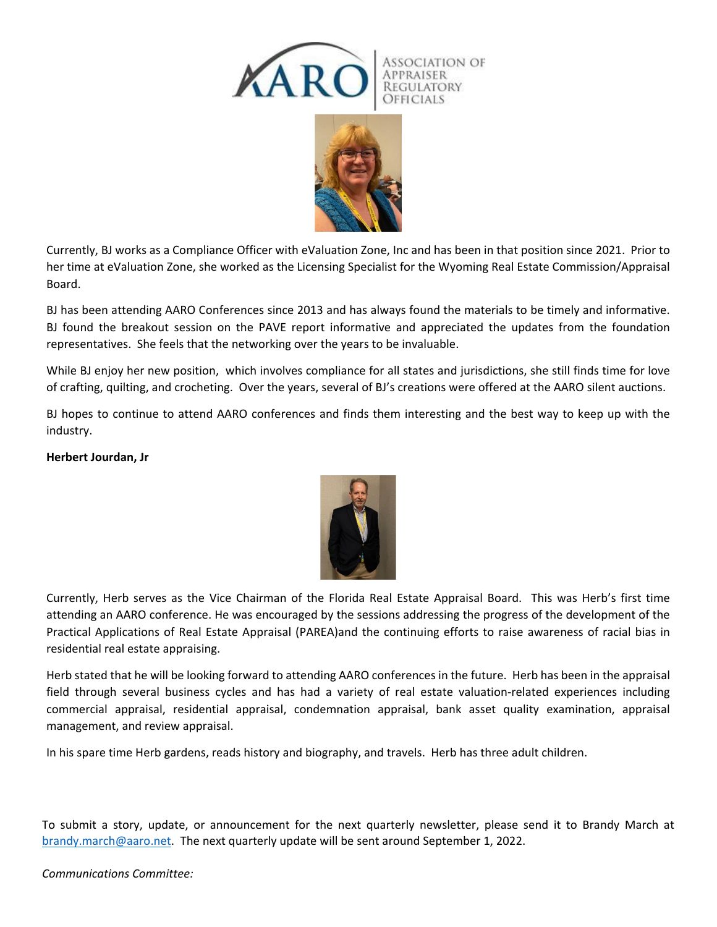

Currently, BJ works as a Compliance Officer with eValuation Zone, Inc and has been in that position since 2021. Prior to her time at eValuation Zone, she worked as the Licensing Specialist for the Wyoming Real Estate Commission/Appraisal Board.

BJ has been attending AARO Conferences since 2013 and has always found the materials to be timely and informative. BJ found the breakout session on the PAVE report informative and appreciated the updates from the foundation representatives. She feels that the networking over the years to be invaluable.

While BJ enjoy her new position, which involves compliance for all states and jurisdictions, she still finds time for love of crafting, quilting, and crocheting. Over the years, several of BJ's creations were offered at the AARO silent auctions.

BJ hopes to continue to attend AARO conferences and finds them interesting and the best way to keep up with the industry.

# **Herbert Jourdan, Jr**



Currently, Herb serves as the Vice Chairman of the Florida Real Estate Appraisal Board. This was Herb's first time attending an AARO conference. He was encouraged by the sessions addressing the progress of the development of the Practical Applications of Real Estate Appraisal (PAREA)and the continuing efforts to raise awareness of racial bias in residential real estate appraising.

Herb stated that he will be looking forward to attending AARO conferences in the future. Herb has been in the appraisal field through several business cycles and has had a variety of real estate valuation-related experiences including commercial appraisal, residential appraisal, condemnation appraisal, bank asset quality examination, appraisal management, and review appraisal.

In his spare time Herb gardens, reads history and biography, and travels. Herb has three adult children.

To submit a story, update, or announcement for the next quarterly newsletter, please send it to Brandy March at brandy.march@aaro.net. The next quarterly update will be sent around September 1, 2022.